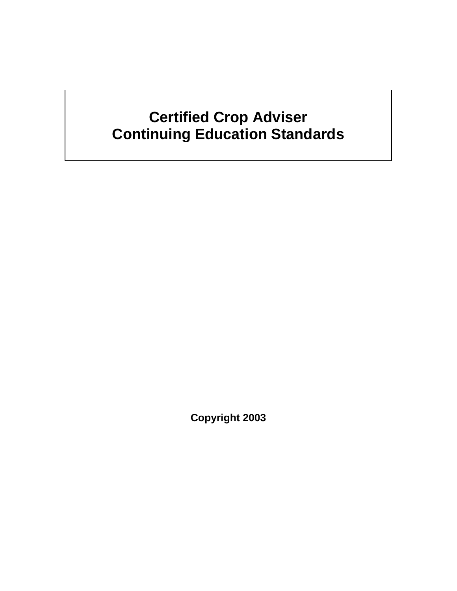# **Certified Crop Adviser Continuing Education Standards**

**Copyright 2003**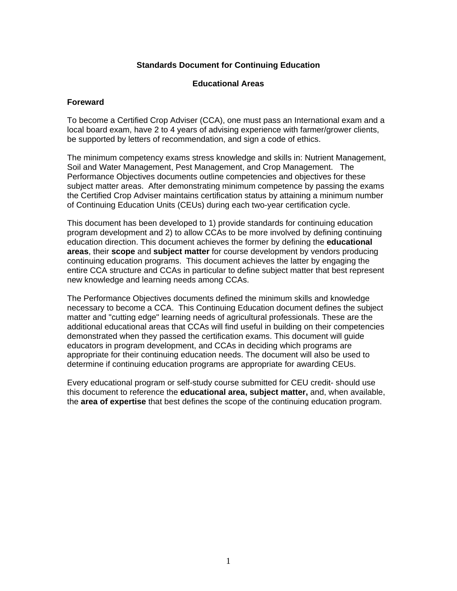#### **Standards Document for Continuing Education**

#### **Educational Areas**

#### **Foreward**

To become a Certified Crop Adviser (CCA), one must pass an International exam and a local board exam, have 2 to 4 years of advising experience with farmer/grower clients, be supported by letters of recommendation, and sign a code of ethics.

The minimum competency exams stress knowledge and skills in: Nutrient Management, Soil and Water Management, Pest Management, and Crop Management. The Performance Objectives documents outline competencies and objectives for these subject matter areas. After demonstrating minimum competence by passing the exams the Certified Crop Adviser maintains certification status by attaining a minimum number of Continuing Education Units (CEUs) during each two-year certification cycle.

This document has been developed to 1) provide standards for continuing education program development and 2) to allow CCAs to be more involved by defining continuing education direction. This document achieves the former by defining the **educational areas**, their **scope** and **subject matter** for course development by vendors producing continuing education programs. This document achieves the latter by engaging the entire CCA structure and CCAs in particular to define subject matter that best represent new knowledge and learning needs among CCAs.

The Performance Objectives documents defined the minimum skills and knowledge necessary to become a CCA. This Continuing Education document defines the subject matter and "cutting edge" learning needs of agricultural professionals. These are the additional educational areas that CCAs will find useful in building on their competencies demonstrated when they passed the certification exams. This document will guide educators in program development, and CCAs in deciding which programs are appropriate for their continuing education needs. The document will also be used to determine if continuing education programs are appropriate for awarding CEUs.

Every educational program or self-study course submitted for CEU credit- should use this document to reference the **educational area, subject matter,** and, when available, the **area of expertise** that best defines the scope of the continuing education program.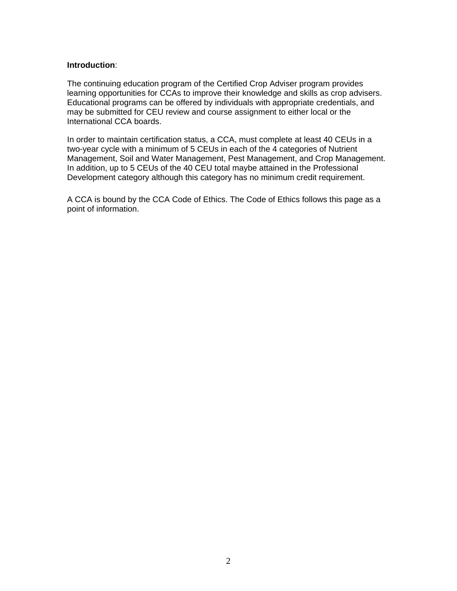#### **Introduction**:

The continuing education program of the Certified Crop Adviser program provides learning opportunities for CCAs to improve their knowledge and skills as crop advisers. Educational programs can be offered by individuals with appropriate credentials, and may be submitted for CEU review and course assignment to either local or the International CCA boards.

In order to maintain certification status, a CCA, must complete at least 40 CEUs in a two-year cycle with a minimum of 5 CEUs in each of the 4 categories of Nutrient Management, Soil and Water Management, Pest Management, and Crop Management. In addition, up to 5 CEUs of the 40 CEU total maybe attained in the Professional Development category although this category has no minimum credit requirement.

A CCA is bound by the CCA Code of Ethics. The Code of Ethics follows this page as a point of information.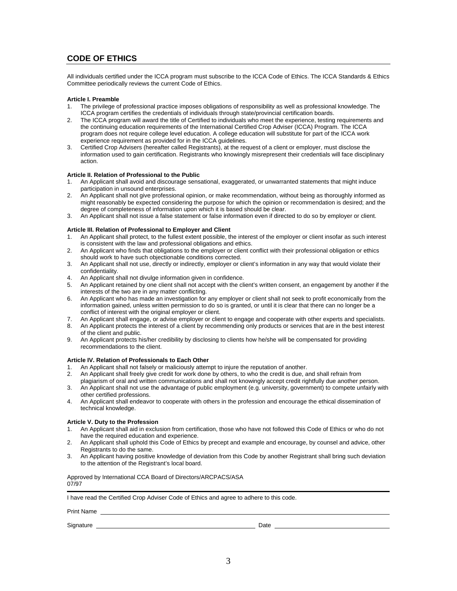## **CODE OF ETHICS**

All individuals certified under the ICCA program must subscribe to the ICCA Code of Ethics. The ICCA Standards & Ethics Committee periodically reviews the current Code of Ethics.

#### **Article I. Preamble**

- 1. The privilege of professional practice imposes obligations of responsibility as well as professional knowledge. The ICCA program certifies the credentials of individuals through state/provincial certification boards.
- 2. The ICCA program will award the title of Certified to individuals who meet the experience, testing requirements and the continuing education requirements of the International Certified Crop Adviser (ICCA) Program. The ICCA program does not require college level education. A college education will substitute for part of the ICCA work experience requirement as provided for in the ICCA guidelines.
- 3. Certified Crop Advisers (hereafter called Registrants), at the request of a client or employer, must disclose the information used to gain certification. Registrants who knowingly misrepresent their credentials will face disciplinary action.

#### **Article II. Relation of Professional to the Public**

- 1. An Applicant shall avoid and discourage sensational, exaggerated, or unwarranted statements that might induce participation in unsound enterprises.
- 2. An Applicant shall not give professional opinion, or make recommendation, without being as thoroughly informed as might reasonably be expected considering the purpose for which the opinion or recommendation is desired; and the degree of completeness of information upon which it is based should be clear.
- 3. An Applicant shall not issue a false statement or false information even if directed to do so by employer or client.

#### **Article III. Relation of Professional to Employer and Client**

- 1. An Applicant shall protect, to the fullest extent possible, the interest of the employer or client insofar as such interest is consistent with the law and professional obligations and ethics.
- 2. An Applicant who finds that obligations to the employer or client conflict with their professional obligation or ethics should work to have such objectionable conditions corrected.
- 3. An Applicant shall not use, directly or indirectly, employer or client's information in any way that would violate their confidentiality.
- 4. An Applicant shall not divulge information given in confidence.
- 5. An Applicant retained by one client shall not accept with the client's written consent, an engagement by another if the interests of the two are in any matter conflicting.
- 6. An Applicant who has made an investigation for any employer or client shall not seek to profit economically from the information gained, unless written permission to do so is granted, or until it is clear that there can no longer be a conflict of interest with the original employer or client.
- 7. An Applicant shall engage, or advise employer or client to engage and cooperate with other experts and specialists.
- 8. An Applicant protects the interest of a client by recommending only products or services that are in the best interest of the client and public.
- 9. An Applicant protects his/her credibility by disclosing to clients how he/she will be compensated for providing recommendations to the client.

#### **Article IV. Relation of Professionals to Each Other**

- 1. An Applicant shall not falsely or maliciously attempt to injure the reputation of another.
- 2. An Applicant shall freely give credit for work done by others, to who the credit is due, and shall refrain from
- plagiarism of oral and written communications and shall not knowingly accept credit rightfully due another person.
- 3. An Applicant shall not use the advantage of public employment (e.g. university, government) to compete unfairly with other certified professions.
- 4. An Applicant shall endeavor to cooperate with others in the profession and encourage the ethical dissemination of technical knowledge.

#### **Article V. Duty to the Profession**

- 1. An Applicant shall aid in exclusion from certification, those who have not followed this Code of Ethics or who do not have the required education and experience.
- 2. An Applicant shall uphold this Code of Ethics by precept and example and encourage, by counsel and advice, other Registrants to do the same.
- 3. An Applicant having positive knowledge of deviation from this Code by another Registrant shall bring such deviation to the attention of the Registrant's local board.

Approved by International CCA Board of Directors/ARCPACS/ASA 07/97

I have read the Certified Crop Adviser Code of Ethics and agree to adhere to this code.

Print Name

Signature Date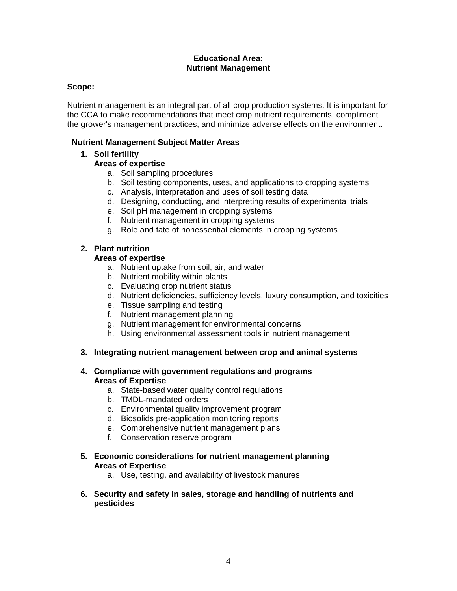#### **Educational Area: Nutrient Management**

#### **Scope:**

Nutrient management is an integral part of all crop production systems. It is important for the CCA to make recommendations that meet crop nutrient requirements, compliment the grower's management practices, and minimize adverse effects on the environment.

#### **Nutrient Management Subject Matter Areas**

### **1. Soil fertility**

## **Areas of expertise**

- a. Soil sampling procedures
- b. Soil testing components, uses, and applications to cropping systems
- c. Analysis, interpretation and uses of soil testing data
- d. Designing, conducting, and interpreting results of experimental trials
- e. Soil pH management in cropping systems
- f. Nutrient management in cropping systems
- g. Role and fate of nonessential elements in cropping systems

## **2. Plant nutrition**

## **Areas of expertise**

- a. Nutrient uptake from soil, air, and water
- b. Nutrient mobility within plants
- c. Evaluating crop nutrient status
- d. Nutrient deficiencies, sufficiency levels, luxury consumption, and toxicities
- e. Tissue sampling and testing
- f. Nutrient management planning
- g. Nutrient management for environmental concerns
- h. Using environmental assessment tools in nutrient management

#### **3. Integrating nutrient management between crop and animal systems**

#### **4. Compliance with government regulations and programs Areas of Expertise**

- a. State-based water quality control regulations
- b. TMDL-mandated orders
- c. Environmental quality improvement program
- d. Biosolids pre-application monitoring reports
- e. Comprehensive nutrient management plans
- f. Conservation reserve program
- **5. Economic considerations for nutrient management planning Areas of Expertise** 
	- a. Use, testing, and availability of livestock manures
- **6. Security and safety in sales, storage and handling of nutrients and pesticides**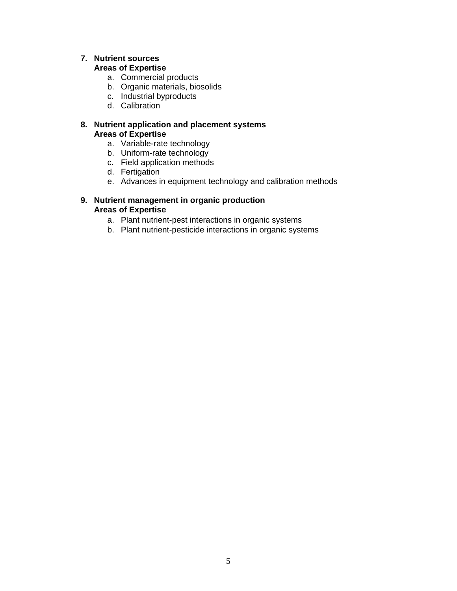## **7. Nutrient sources**

#### **Areas of Expertise**

- a. Commercial products
- b. Organic materials, biosolids
- c. Industrial byproducts
- d. Calibration

#### **8. Nutrient application and placement systems Areas of Expertise**

- a. Variable-rate technology
- b. Uniform-rate technology
- c. Field application methods
- d. Fertigation
- e. Advances in equipment technology and calibration methods

#### **9. Nutrient management in organic production Areas of Expertise**

- a. Plant nutrient-pest interactions in organic systems
- b. Plant nutrient-pesticide interactions in organic systems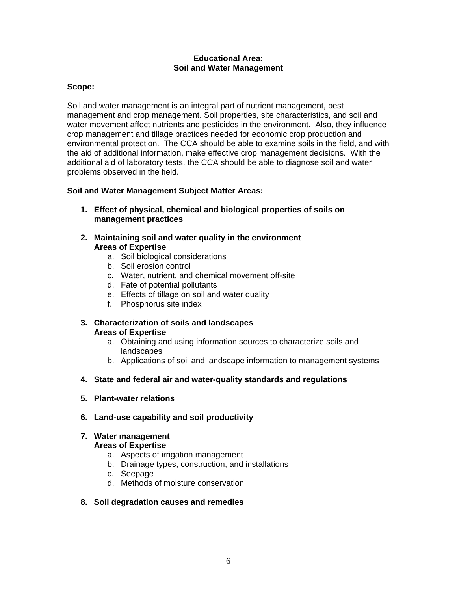#### **Educational Area: Soil and Water Management**

#### **Scope:**

Soil and water management is an integral part of nutrient management, pest management and crop management. Soil properties, site characteristics, and soil and water movement affect nutrients and pesticides in the environment. Also, they influence crop management and tillage practices needed for economic crop production and environmental protection. The CCA should be able to examine soils in the field, and with the aid of additional information, make effective crop management decisions. With the additional aid of laboratory tests, the CCA should be able to diagnose soil and water problems observed in the field.

#### **Soil and Water Management Subject Matter Areas:**

- **1. Effect of physical, chemical and biological properties of soils on management practices**
- **2. Maintaining soil and water quality in the environment Areas of Expertise** 
	- a. Soil biological considerations
	- b. Soil erosion control
	- c. Water, nutrient, and chemical movement off-site
	- d. Fate of potential pollutants
	- e. Effects of tillage on soil and water quality
	- f. Phosphorus site index

#### **3. Characterization of soils and landscapes Areas of Expertise**

- a. Obtaining and using information sources to characterize soils and landscapes
- b. Applications of soil and landscape information to management systems
- **4. State and federal air and water-quality standards and regulations**
- **5. Plant-water relations**
- **6. Land-use capability and soil productivity**

#### **7. Water management**

#### **Areas of Expertise**

- a. Aspects of irrigation management
- b. Drainage types, construction, and installations
- c. Seepage
- d. Methods of moisture conservation

#### **8. Soil degradation causes and remedies**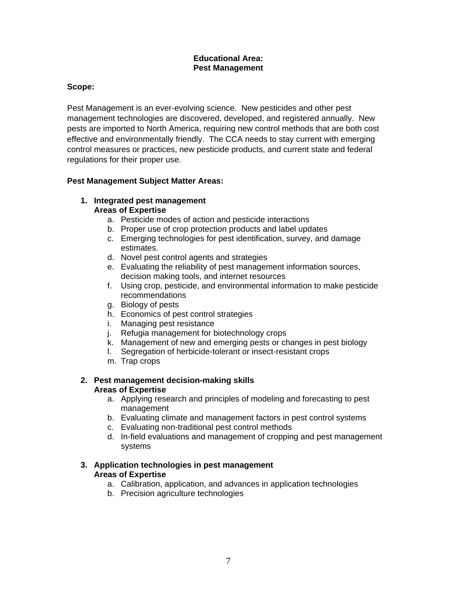#### **Educational Area: Pest Management**

## **Scope:**

Pest Management is an ever-evolving science. New pesticides and other pest management technologies are discovered, developed, and registered annually. New pests are imported to North America, requiring new control methods that are both cost effective and environmentally friendly. The CCA needs to stay current with emerging control measures or practices, new pesticide products, and current state and federal regulations for their proper use.

### **Pest Management Subject Matter Areas:**

#### **1. Integrated pest management Areas of Expertise**

- a. Pesticide modes of action and pesticide interactions
- b. Proper use of crop protection products and label updates
- c. Emerging technologies for pest identification, survey, and damage estimates.
- d. Novel pest control agents and strategies
- e. Evaluating the reliability of pest management information sources, decision making tools, and internet resources
- f. Using crop, pesticide, and environmental information to make pesticide recommendations
- g. Biology of pests
- h. Economics of pest control strategies
- i. Managing pest resistance
- j. Refugia management for biotechnology crops
- k. Management of new and emerging pests or changes in pest biology
- l. Segregation of herbicide-tolerant or insect-resistant crops
- m. Trap crops

### **2. Pest management decision-making skills Areas of Expertise**

- a. Applying research and principles of modeling and forecasting to pest management
- b. Evaluating climate and management factors in pest control systems
- c. Evaluating non-traditional pest control methods
- d. In-field evaluations and management of cropping and pest management systems

#### **3. Application technologies in pest management Areas of Expertise**

- a. Calibration, application, and advances in application technologies
- b. Precision agriculture technologies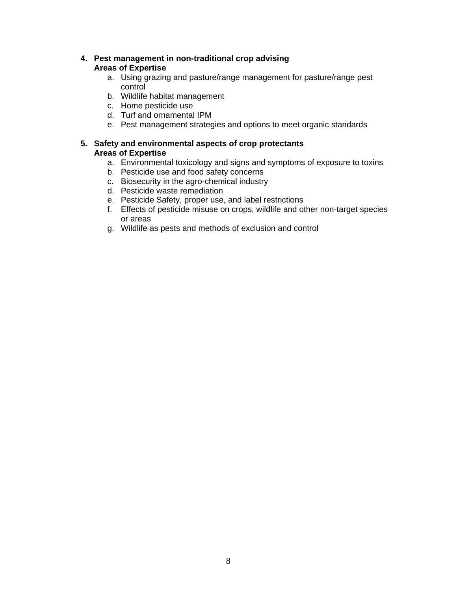### **4. Pest management in non-traditional crop advising Areas of Expertise**

- a. Using grazing and pasture/range management for pasture/range pest control
- b. Wildlife habitat management
- c. Home pesticide use
- d. Turf and ornamental IPM
- e. Pest management strategies and options to meet organic standards

#### **5. Safety and environmental aspects of crop protectants Areas of Expertise**

- a. Environmental toxicology and signs and symptoms of exposure to toxins
- b. Pesticide use and food safety concerns
- c. Biosecurity in the agro-chemical industry
- d. Pesticide waste remediation
- e. Pesticide Safety, proper use, and label restrictions
- f. Effects of pesticide misuse on crops, wildlife and other non-target species or areas
- g. Wildlife as pests and methods of exclusion and control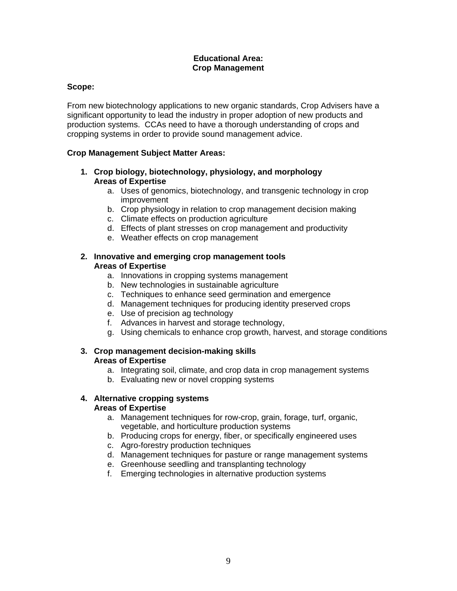#### **Educational Area: Crop Management**

### **Scope:**

From new biotechnology applications to new organic standards, Crop Advisers have a significant opportunity to lead the industry in proper adoption of new products and production systems. CCAs need to have a thorough understanding of crops and cropping systems in order to provide sound management advice.

#### **Crop Management Subject Matter Areas:**

- **1. Crop biology, biotechnology, physiology, and morphology Areas of Expertise** 
	- a. Uses of genomics, biotechnology, and transgenic technology in crop improvement
	- b. Crop physiology in relation to crop management decision making
	- c. Climate effects on production agriculture
	- d. Effects of plant stresses on crop management and productivity
	- e. Weather effects on crop management

#### **2. Innovative and emerging crop management tools Areas of Expertise**

- a. Innovations in cropping systems management
- b. New technologies in sustainable agriculture
- c. Techniques to enhance seed germination and emergence
- d. Management techniques for producing identity preserved crops
- e. Use of precision ag technology
- f. Advances in harvest and storage technology,
- g. Using chemicals to enhance crop growth, harvest, and storage conditions

### **3. Crop management decision-making skills Areas of Expertise**

- a. Integrating soil, climate, and crop data in crop management systems
- b. Evaluating new or novel cropping systems

#### **4. Alternative cropping systems Areas of Expertise**

- a. Management techniques for row-crop, grain, forage, turf, organic, vegetable, and horticulture production systems
- b. Producing crops for energy, fiber, or specifically engineered uses
- c. Agro-forestry production techniques
- d. Management techniques for pasture or range management systems
- e. Greenhouse seedling and transplanting technology
- f. Emerging technologies in alternative production systems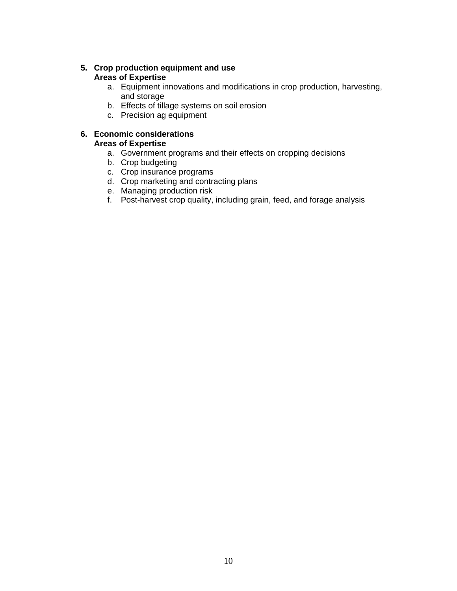#### **5. Crop production equipment and use Areas of Expertise**

- a. Equipment innovations and modifications in crop production, harvesting, and storage
- b. Effects of tillage systems on soil erosion
- c. Precision ag equipment

#### **6. Economic considerations Areas of Expertise**

- a. Government programs and their effects on cropping decisions
- b. Crop budgeting
- c. Crop insurance programs
- d. Crop marketing and contracting plans
- e. Managing production risk
- f. Post-harvest crop quality, including grain, feed, and forage analysis